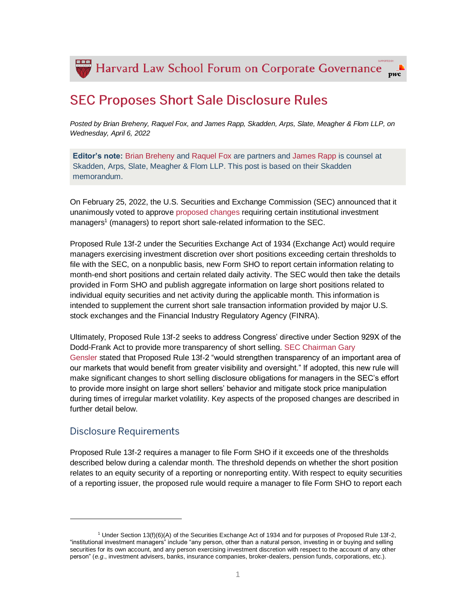Harvard Law School Forum on Corporate Governance  $\bar{pwc}$ 

# **SEC Proposes Short Sale Disclosure Rules**

*Posted by Brian Breheny, Raquel Fox, and James Rapp, Skadden, Arps, Slate, Meagher & Flom LLP, on Wednesday, April 6, 2022*

**Editor's note:** [Brian Breheny](https://www.skadden.com/professionals/b/breheny-brian-v) and [Raquel Fox](https://www.skadden.com/professionals/f/fox-raquel) are partners and [James Rapp](https://www.skadden.com/professionals/r/rapp-james) is counsel at Skadden, Arps, Slate, Meagher & Flom LLP. This post is based on their Skadden memorandum.

On February 25, 2022, the U.S. Securities and Exchange Commission (SEC) announced that it unanimously voted to approve [proposed changes](https://www.skadden.com/-/media/files/publications/2022/03/sec-proposes-short-sale-disclosure-rules/short_position.pdf) requiring certain institutional investment managers<sup>1</sup> (managers) to report short sale-related information to the SEC.

Proposed Rule 13f-2 under the Securities Exchange Act of 1934 (Exchange Act) would require managers exercising investment discretion over short positions exceeding certain thresholds to file with the SEC, on a nonpublic basis, new Form SHO to report certain information relating to month-end short positions and certain related daily activity. The SEC would then take the details provided in Form SHO and publish aggregate information on large short positions related to individual equity securities and net activity during the applicable month. This information is intended to supplement the current short sale transaction information provided by major U.S. stock exchanges and the Financial Industry Regulatory Agency (FINRA).

Ultimately, Proposed Rule 13f-2 seeks to address Congress' directive under Section 929X of the Dodd-Frank Act to provide more transparency of short selling. [SEC Chairman Gary](https://www.sec.gov/news/statement/gensler-statement-rules-increase-transparency-short-sale-activity-022522)  [Gensler](https://www.sec.gov/news/statement/gensler-statement-rules-increase-transparency-short-sale-activity-022522) stated that Proposed Rule 13f-2 "would strengthen transparency of an important area of our markets that would benefit from greater visibility and oversight." If adopted, this new rule will make significant changes to short selling disclosure obligations for managers in the SEC's effort to provide more insight on large short sellers' behavior and mitigate stock price manipulation during times of irregular market volatility. Key aspects of the proposed changes are described in further detail below.

#### **Disclosure Requirements**

l

Proposed Rule 13f-2 requires a manager to file Form SHO if it exceeds one of the thresholds described below during a calendar month. The threshold depends on whether the short position relates to an equity security of a reporting or nonreporting entity. With respect to equity securities of a reporting issuer, the proposed rule would require a manager to file Form SHO to report each

<sup>1</sup> Under Section 13(f)(6)(A) of the Securities Exchange Act of 1934 and for purposes of Proposed Rule 13f-2, "institutional investment managers" include "any person, other than a natural person, investing in or buying and selling securities for its own account, and any person exercising investment discretion with respect to the account of any other person" (*e.g*., investment advisers, banks, insurance companies, broker-dealers, pension funds, corporations, etc.).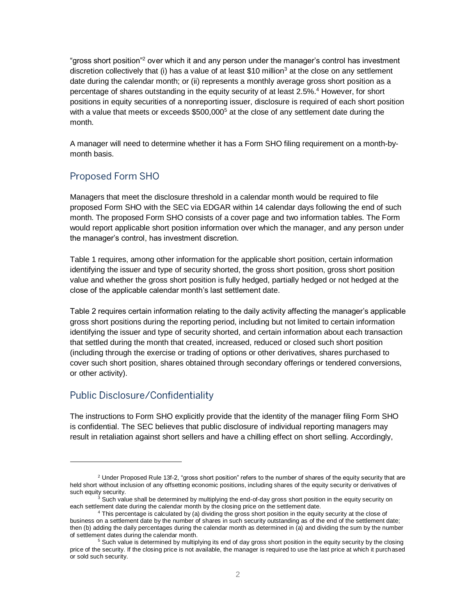"gross short position"<sup>2</sup> over which it and any person under the manager's control has investment discretion collectively that (i) has a value of at least \$10 million<sup>3</sup> at the close on any settlement date during the calendar month; or (ii) represents a monthly average gross short position as a percentage of shares outstanding in the equity security of at least 2.5%.<sup>4</sup> However, for short positions in equity securities of a nonreporting issuer, disclosure is required of each short position with a value that meets or exceeds  $$500,000^5$  at the close of any settlement date during the month.

A manager will need to determine whether it has a Form SHO filing requirement on a month-bymonth basis.

## **Proposed Form SHO**

Managers that meet the disclosure threshold in a calendar month would be required to file proposed Form SHO with the SEC via EDGAR within 14 calendar days following the end of such month. The proposed Form SHO consists of a cover page and two information tables. The Form would report applicable short position information over which the manager, and any person under the manager's control, has investment discretion.

Table 1 requires, among other information for the applicable short position, certain information identifying the issuer and type of security shorted, the gross short position, gross short position value and whether the gross short position is fully hedged, partially hedged or not hedged at the close of the applicable calendar month's last settlement date.

Table 2 requires certain information relating to the daily activity affecting the manager's applicable gross short positions during the reporting period, including but not limited to certain information identifying the issuer and type of security shorted, and certain information about each transaction that settled during the month that created, increased, reduced or closed such short position (including through the exercise or trading of options or other derivatives, shares purchased to cover such short position, shares obtained through secondary offerings or tendered conversions, or other activity).

## **Public Disclosure/Confidentiality**

l

The instructions to Form SHO explicitly provide that the identity of the manager filing Form SHO is confidential. The SEC believes that public disclosure of individual reporting managers may result in retaliation against short sellers and have a chilling effect on short selling. Accordingly,

<sup>&</sup>lt;sup>2</sup> Under Proposed Rule 13f-2, "gross short position" refers to the number of shares of the equity security that are held short without inclusion of any offsetting economic positions, including shares of the equity security or derivatives of such equity security.

Such value shall be determined by multiplying the end-of-day gross short position in the equity security on each settlement date during the calendar month by the closing price on the settlement date.

<sup>&</sup>lt;sup>4</sup> This percentage is calculated by (a) dividing the gross short position in the equity security at the close of business on a settlement date by the number of shares in such security outstanding as of the end of the settlement date; then (b) adding the daily percentages during the calendar month as determined in (a) and dividing the sum by the number of settlement dates during the calendar month.

<sup>&</sup>lt;sup>5</sup> Such value is determined by multiplying its end of day gross short position in the equity security by the closing price of the security. If the closing price is not available, the manager is required to use the last price at which it purchased or sold such security.